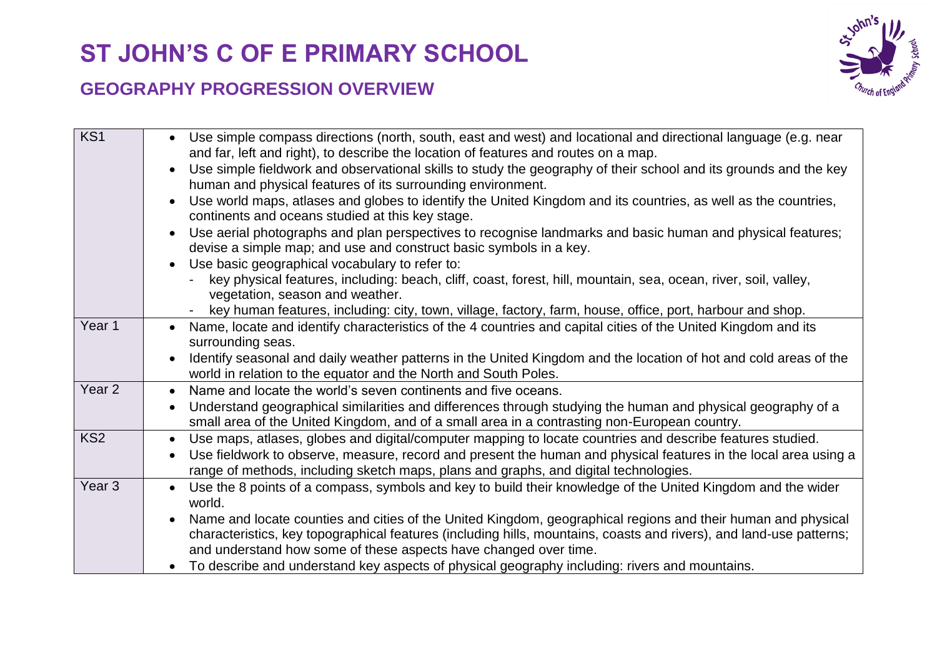## **ST JOHN'S C OF E PRIMARY SCHOOL**

## **GEOGRAPHY PROGRESSION OVERVIEW**



|                   | and far, left and right), to describe the location of features and routes on a map.<br>Use simple fieldwork and observational skills to study the geography of their school and its grounds and the key<br>$\bullet$<br>human and physical features of its surrounding environment.<br>Use world maps, atlases and globes to identify the United Kingdom and its countries, as well as the countries,<br>continents and oceans studied at this key stage.<br>Use aerial photographs and plan perspectives to recognise landmarks and basic human and physical features;<br>$\bullet$<br>devise a simple map; and use and construct basic symbols in a key.<br>Use basic geographical vocabulary to refer to:<br>key physical features, including: beach, cliff, coast, forest, hill, mountain, sea, ocean, river, soil, valley, |
|-------------------|---------------------------------------------------------------------------------------------------------------------------------------------------------------------------------------------------------------------------------------------------------------------------------------------------------------------------------------------------------------------------------------------------------------------------------------------------------------------------------------------------------------------------------------------------------------------------------------------------------------------------------------------------------------------------------------------------------------------------------------------------------------------------------------------------------------------------------|
|                   | vegetation, season and weather.<br>key human features, including: city, town, village, factory, farm, house, office, port, harbour and shop.                                                                                                                                                                                                                                                                                                                                                                                                                                                                                                                                                                                                                                                                                    |
| Year 1            | Name, locate and identify characteristics of the 4 countries and capital cities of the United Kingdom and its<br>$\bullet$<br>surrounding seas.<br>Identify seasonal and daily weather patterns in the United Kingdom and the location of hot and cold areas of the<br>world in relation to the equator and the North and South Poles.                                                                                                                                                                                                                                                                                                                                                                                                                                                                                          |
| Year <sub>2</sub> | Name and locate the world's seven continents and five oceans.<br>$\bullet$<br>Understand geographical similarities and differences through studying the human and physical geography of a<br>$\bullet$                                                                                                                                                                                                                                                                                                                                                                                                                                                                                                                                                                                                                          |
|                   | small area of the United Kingdom, and of a small area in a contrasting non-European country.                                                                                                                                                                                                                                                                                                                                                                                                                                                                                                                                                                                                                                                                                                                                    |
| KS <sub>2</sub>   | Use maps, atlases, globes and digital/computer mapping to locate countries and describe features studied.<br>$\bullet$<br>Use fieldwork to observe, measure, record and present the human and physical features in the local area using a<br>$\bullet$<br>range of methods, including sketch maps, plans and graphs, and digital technologies.                                                                                                                                                                                                                                                                                                                                                                                                                                                                                  |
| Year <sub>3</sub> | Use the 8 points of a compass, symbols and key to build their knowledge of the United Kingdom and the wider<br>$\bullet$<br>world.<br>Name and locate counties and cities of the United Kingdom, geographical regions and their human and physical<br>$\bullet$<br>characteristics, key topographical features (including hills, mountains, coasts and rivers), and land-use patterns;<br>and understand how some of these aspects have changed over time.<br>To describe and understand key aspects of physical geography including: rivers and mountains.                                                                                                                                                                                                                                                                     |